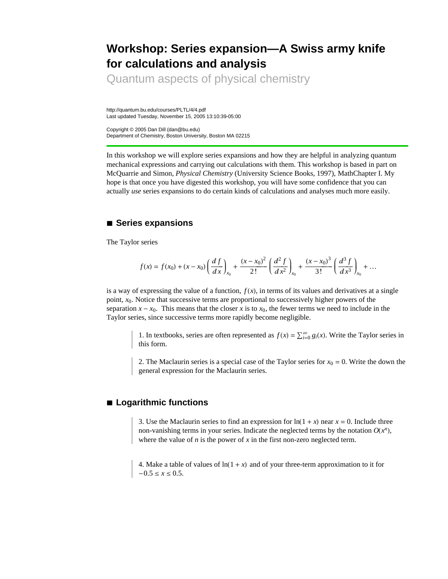# **Workshop: Series expansion—A Swiss army knife for calculations and analysis**

Quantum aspects of physical chemistry

http://quantum.bu.edu/courses/PLTL/4/4.pdf Last updated Tuesday, November 15, 2005 13:10:39-05:00

Copyright © 2005 Dan Dill (dan@bu.edu) Department of Chemistry, Boston University, Boston MA 02215

In this workshop we will explore series expansions and how they are helpful in analyzing quantum mechanical expressions and carrying out calculations with them. This workshop is based in part on McQuarrie and Simon, *Physical Chemistry* (University Science Books, 1997), MathChapter I. My hope is that once you have digested this workshop, you will have some confidence that you can actually *use* series expansions to do certain kinds of calculations and analyses much more easily.

## **à Series expansions**

The Taylor series

$$
f(x) = f(x_0) + (x - x_0) \left(\frac{df}{dx}\right)_{x_0} + \frac{(x - x_0)^2}{2!} \left(\frac{d^2 f}{dx^2}\right)_{x_0} + \frac{(x - x_0)^3}{3!} \left(\frac{d^3 f}{dx^3}\right)_{x_0} + \dots
$$

is a way of expressing the value of a function,  $f(x)$ , in terms of its values and derivatives at a single point,  $x_0$ . Notice that successive terms are proportional to successively higher powers of the separation  $x - x_0$ . This means that the closer *x* is to  $x_0$ , the fewer terms we need to include in the Taylor series, since successive terms more rapidly become negligible.

> 1. In textbooks, series are often represented as  $f(x) = \sum_{i=0}^{\infty} g_i(x)$ . Write the Taylor series in this form.

> 2. The Maclaurin series is a special case of the Taylor series for  $x_0 = 0$ . Write the down the general expression for the Maclaurin series.

## **à Logarithmic functions**

3. Use the Maclaurin series to find an expression for  $ln(1 + x)$  near  $x = 0$ . Include three non-vanishing terms in your series. Indicate the neglected terms by the notation  $O(x^n)$ , where the value of  $n$  is the power of  $x$  in the first non-zero neglected term.

4. Make a table of values of  $ln(1 + x)$  and of your three-term approximation to it for  $-0.5 \le x \le 0.5$ .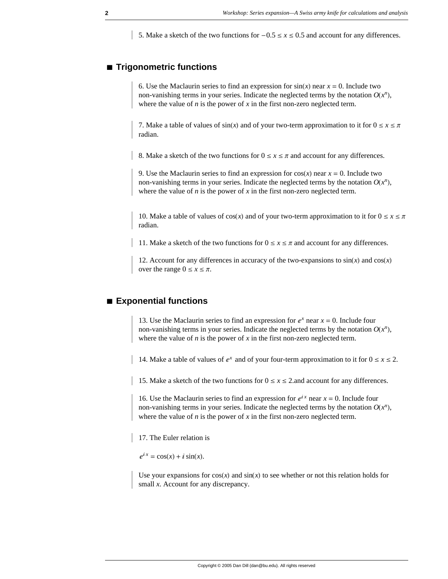5. Make a sketch of the two functions for  $-0.5 \le x \le 0.5$  and account for any differences.

## **à Trigonometric functions**

6. Use the Maclaurin series to find an expression for  $sin(x)$  near  $x = 0$ . Include two non-vanishing terms in your series. Indicate the neglected terms by the notation  $O(x^n)$ , where the value of  $n$  is the power of  $x$  in the first non-zero neglected term.

7. Make a table of values of  $sin(x)$  and of your two-term approximation to it for  $0 \le x \le \pi$ radian.

8. Make a sketch of the two functions for  $0 \le x \le \pi$  and account for any differences.

9. Use the Maclaurin series to find an expression for  $cos(x)$  near  $x = 0$ . Include two non-vanishing terms in your series. Indicate the neglected terms by the notation  $O(x^n)$ , where the value of  $n$  is the power of  $x$  in the first non-zero neglected term.

10. Make a table of values of  $cos(x)$  and of your two-term approximation to it for  $0 \le x \le \pi$ radian.

11. Make a sketch of the two functions for  $0 \le x \le \pi$  and account for any differences.

12. Account for any differences in accuracy of the two-expansions to  $sin(x)$  and  $cos(x)$ over the range  $0 \le x \le \pi$ .

## **à Exponential functions**

13. Use the Maclaurin series to find an expression for  $e^x$  near  $x = 0$ . Include four non-vanishing terms in your series. Indicate the neglected terms by the notation  $O(x^n)$ , where the value of  $n$  is the power of  $x$  in the first non-zero neglected term.

14. Make a table of values of  $e^x$  and of your four-term approximation to it for  $0 \le x \le 2$ .

15. Make a sketch of the two functions for  $0 \le x \le 2$  and account for any differences.

16. Use the Maclaurin series to find an expression for  $e^{ix}$  near  $x = 0$ . Include four non-vanishing terms in your series. Indicate the neglected terms by the notation  $O(x^n)$ , where the value of *n* is the power of *x* in the first non-zero neglected term.

17. The Euler relation is

 $e^{ix} = \cos(x) + i \sin(x)$ .

Use your expansions for  $cos(x)$  and  $sin(x)$  to see whether or not this relation holds for small *x*. Account for any discrepancy.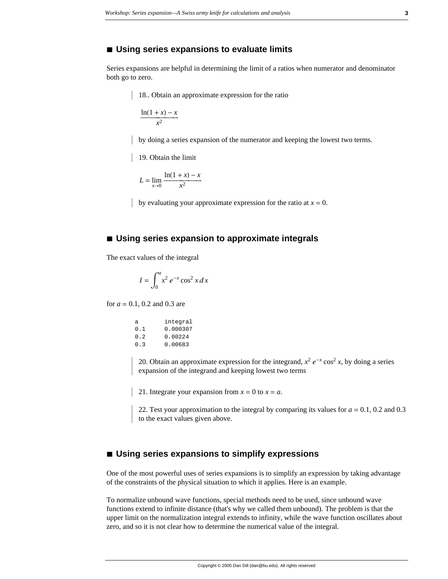#### ■ Using series expansions to evaluate limits

Series expansions are helpful in determining the limit of a ratios when numerator and denominator both go to zero.

18.. Obtain an approximate expression for the ratio

$$
\frac{\ln(1+x)-x}{x^2}
$$

by doing a series expansion of the numerator and keeping the lowest two terms.

19. Obtain the limit

$$
L = \lim_{x \to 0} \frac{\ln(1+x) - x}{x^2}
$$

by evaluating your approximate expression for the ratio at  $x = 0$ .

#### **à Using series expansion to approximate integrals**

The exact values of the integral

$$
I = \int_0^a x^2 e^{-x} \cos^2 x \, dx
$$

for *a* = 0.1, 0.2 and 0.3 are

| integral |
|----------|
| 0.000307 |
| 0.00224  |
| 0.00683  |
|          |

20. Obtain an approximate expression for the integrand,  $x^2 e^{-x} \cos^2 x$ , by doing a series expansion of the integrand and keeping lowest two terms

21. Integrate your expansion from  $x = 0$  to  $x = a$ .

22. Test your approximation to the integral by comparing its values for  $a = 0.1$ , 0.2 and 0.3 to the exact values given above.

#### **à Using series expansions to simplify expressions**

One of the most powerful uses of series expansions is to simplify an expression by taking advantage of the constraints of the physical situation to which it applies. Here is an example.

To normalize unbound wave functions, special methods need to be used, since unbound wave functions extend to infinite distance (that's why we called them unbound). The problem is that the upper limit on the normalization integral extends to infinity, while the wave function oscillates about zero, and so it is not clear how to determine the numerical value of the integral.